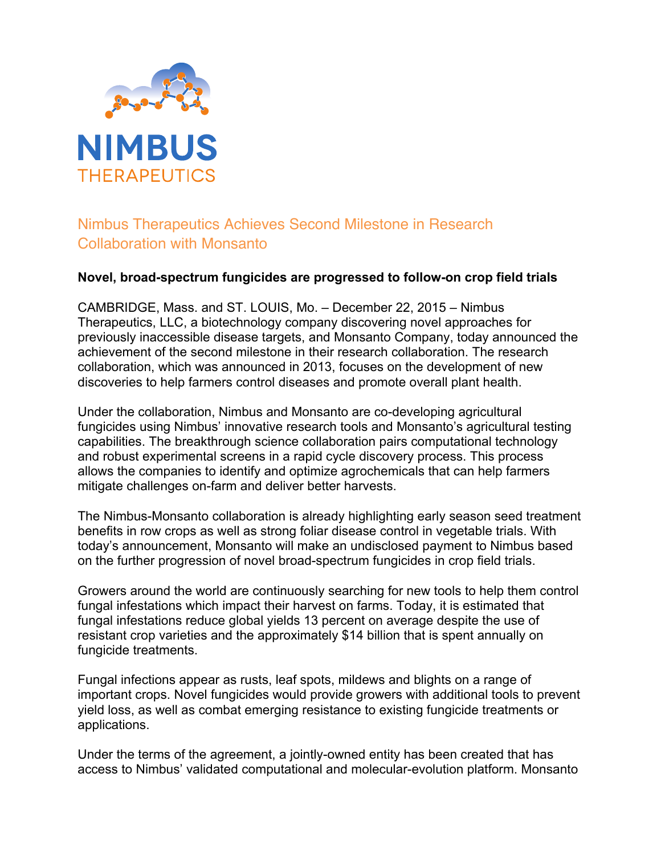

# Nimbus Therapeutics Achieves Second Milestone in Research Collaboration with Monsanto

## **Novel, broad-spectrum fungicides are progressed to follow-on crop field trials**

CAMBRIDGE, Mass. and ST. LOUIS, Mo. – December 22, 2015 – Nimbus Therapeutics, LLC, a biotechnology company discovering novel approaches for previously inaccessible disease targets, and Monsanto Company, today announced the achievement of the second milestone in their research collaboration. The research collaboration, which was announced in 2013, focuses on the development of new discoveries to help farmers control diseases and promote overall plant health.

Under the collaboration, Nimbus and Monsanto are co-developing agricultural fungicides using Nimbus' innovative research tools and Monsanto's agricultural testing capabilities. The breakthrough science collaboration pairs computational technology and robust experimental screens in a rapid cycle discovery process. This process allows the companies to identify and optimize agrochemicals that can help farmers mitigate challenges on-farm and deliver better harvests.

The Nimbus-Monsanto collaboration is already highlighting early season seed treatment benefits in row crops as well as strong foliar disease control in vegetable trials. With today's announcement, Monsanto will make an undisclosed payment to Nimbus based on the further progression of novel broad-spectrum fungicides in crop field trials.

Growers around the world are continuously searching for new tools to help them control fungal infestations which impact their harvest on farms. Today, it is estimated that fungal infestations reduce global yields 13 percent on average despite the use of resistant crop varieties and the approximately \$14 billion that is spent annually on fungicide treatments.

Fungal infections appear as rusts, leaf spots, mildews and blights on a range of important crops. Novel fungicides would provide growers with additional tools to prevent yield loss, as well as combat emerging resistance to existing fungicide treatments or applications.

Under the terms of the agreement, a jointly-owned entity has been created that has access to Nimbus' validated computational and molecular-evolution platform. Monsanto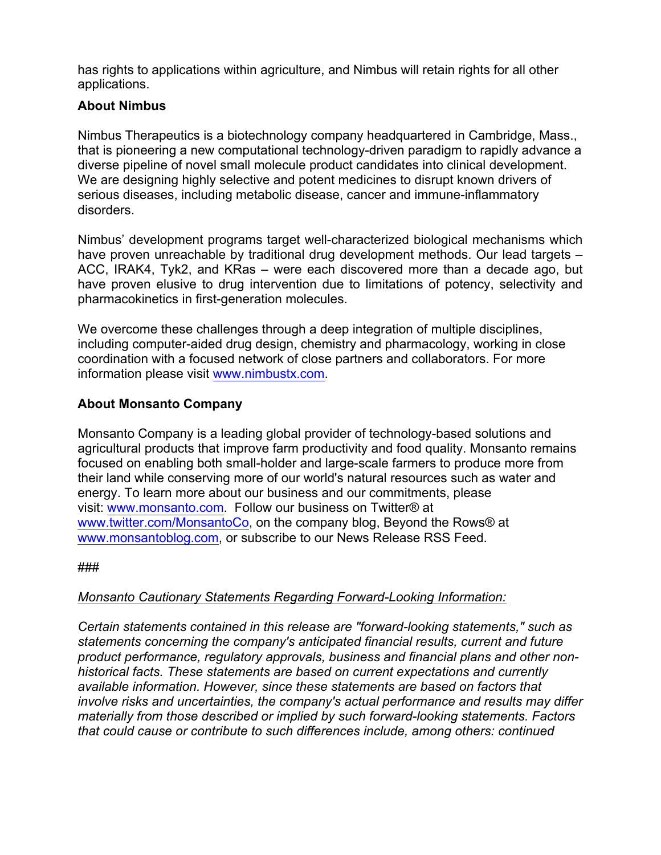has rights to applications within agriculture, and Nimbus will retain rights for all other applications.

## **About Nimbus**

Nimbus Therapeutics is a biotechnology company headquartered in Cambridge, Mass., that is pioneering a new computational technology-driven paradigm to rapidly advance a diverse pipeline of novel small molecule product candidates into clinical development. We are designing highly selective and potent medicines to disrupt known drivers of serious diseases, including metabolic disease, cancer and immune-inflammatory disorders.

Nimbus' development programs target well-characterized biological mechanisms which have proven unreachable by traditional drug development methods. Our lead targets – ACC, IRAK4, Tyk2, and KRas – were each discovered more than a decade ago, but have proven elusive to drug intervention due to limitations of potency, selectivity and pharmacokinetics in first-generation molecules.

We overcome these challenges through a deep integration of multiple disciplines, including computer-aided drug design, chemistry and pharmacology, working in close coordination with a focused network of close partners and collaborators. For more information please visit www.nimbustx.com.

# **About Monsanto Company**

Monsanto Company is a leading global provider of technology-based solutions and agricultural products that improve farm productivity and food quality. Monsanto remains focused on enabling both small-holder and large-scale farmers to produce more from their land while conserving more of our world's natural resources such as water and energy. To learn more about our business and our commitments, please visit: www.monsanto.com. Follow our business on Twitter® at www.twitter.com/MonsantoCo, on the company blog, Beyond the Rows® at www.monsantoblog.com, or subscribe to our News Release RSS Feed.

## ###

## *Monsanto Cautionary Statements Regarding Forward-Looking Information:*

*Certain statements contained in this release are "forward-looking statements," such as statements concerning the company's anticipated financial results, current and future product performance, regulatory approvals, business and financial plans and other nonhistorical facts. These statements are based on current expectations and currently available information. However, since these statements are based on factors that involve risks and uncertainties, the company's actual performance and results may differ materially from those described or implied by such forward-looking statements. Factors that could cause or contribute to such differences include, among others: continued*